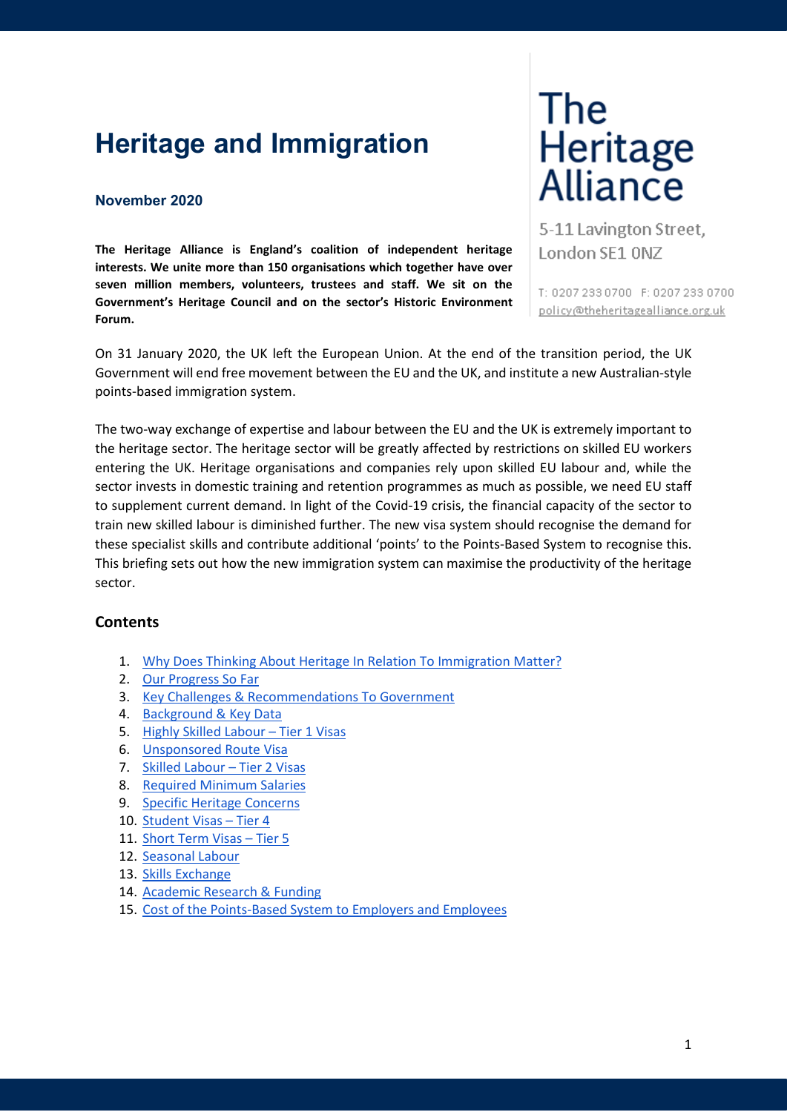# **Heritage and Immigration**

#### **November 2020**

**The Heritage Alliance is England's coalition of independent heritage interests. We unite more than 150 organisations which together have over seven million members, volunteers, trustees and staff. We sit on the Government's Heritage Council and on the sector's Historic Environment Forum.**

# The Heritage<br>Alliance

5-11 Lavington Street, London SE1 ONZ

T: 0207 233 0700 F: 0207 233 0700 policy@theheritagealliance.org.uk

On 31 January 2020, the UK left the European Union. At the end of the transition period, the UK Government will end free movement between the EU and the UK, and institute a new Australian-style points-based immigration system.

The two-way exchange of expertise and labour between the EU and the UK is extremely important to the heritage sector. The heritage sector will be greatly affected by restrictions on skilled EU workers entering the UK. Heritage organisations and companies rely upon skilled EU labour and, while the sector invests in domestic training and retention programmes as much as possible, we need EU staff to supplement current demand. In light of the Covid-19 crisis, the financial capacity of the sector to train new skilled labour is diminished further. The new visa system should recognise the demand for these specialist skills and contribute additional 'points' to the Points-Based System to recognise this. This briefing sets out how the new immigration system can maximise the productivity of the heritage sector.

# **Contents**

- 1. [Why Does Thinking About Heritage In Relation To Immigration Matter?](#page-1-0)
- 2. [Our Progress So Far](#page-1-1)
- 3. [Key Challenges & Recommendations To Government](#page-1-2)
- 4. [Background & Key Data](#page-2-0)
- 5. [Highly Skilled Labour –](#page-4-0) Tier 1 Visas
- 6. [Unsponsored Route Visa](#page-4-1)
- 7. [Skilled Labour –](#page-4-2) Tier 2 Visas
- 8. [Required Minimum Salaries](#page-5-0)
- 9. [Specific Heritage Concerns](#page-5-1)
- 10. [Student Visas –](#page-7-0) Tier 4
- 11. [Short Term Visas –](#page-7-1) Tier 5
- 12. [Seasonal Labour](#page-7-2)
- 13. [Skills Exchange](#page-8-0)
- 14. [Academic Research & Funding](#page-8-1)
- 15. [Cost of the Points-Based System to Employers and Employees](#page-8-2)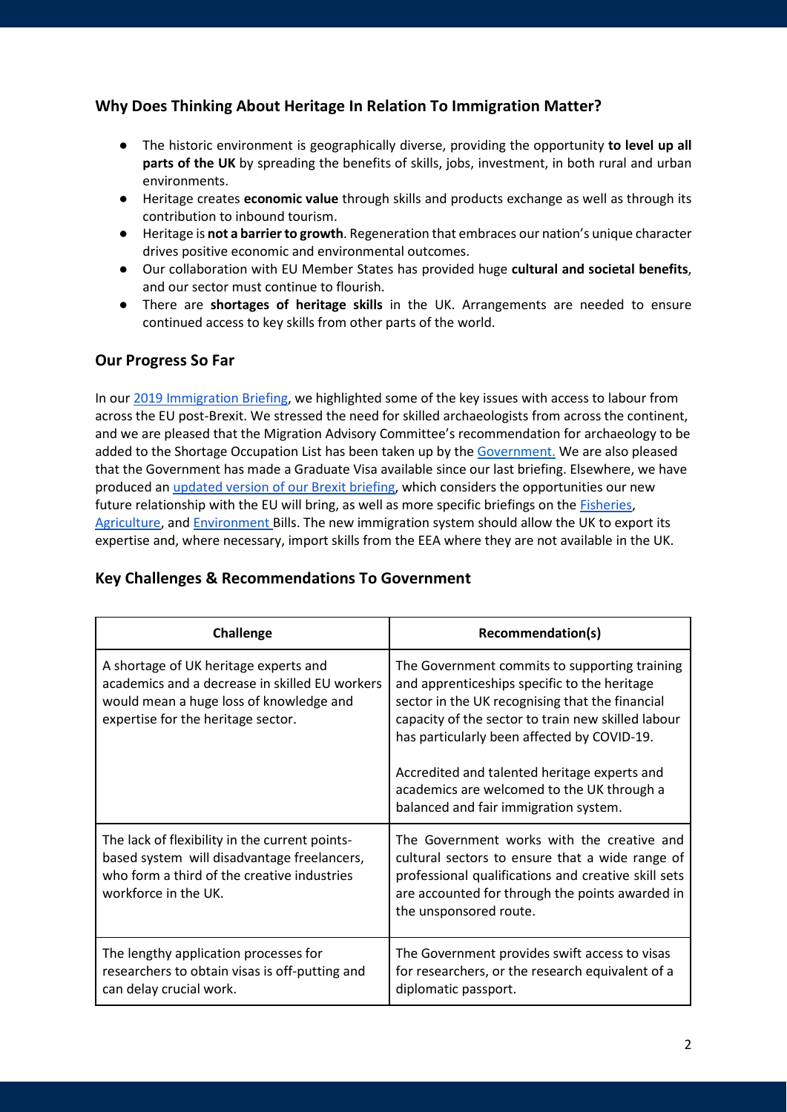# <span id="page-1-0"></span>**Why Does Thinking About Heritage In Relation To Immigration Matter?**

- The historic environment is geographically diverse, providing the opportunity **to level up all parts of the UK** by spreading the benefits of skills, jobs, investment, in both rural and urban environments.
- Heritage creates **economic value** through skills and products exchange as well as through its contribution to inbound tourism.
- Heritage is **not a barrier to growth**. Regeneration that embraces our nation's unique character drives positive economic and environmental outcomes.
- Our collaboration with EU Member States has provided huge **cultural and societal benefits**, and our sector must continue to flourish.
- There are **shortages of heritage skills** in the UK. Arrangements are needed to ensure continued access to key skills from other parts of the world.

# <span id="page-1-1"></span>**Our Progress So Far**

In our [2019 Immigration Briefing,](https://www.theheritagealliance.org.uk/wp-content/uploads/2019/05/Heritage-and-Immigration-Brexit-Briefing.pdf) we highlighted some of the key issues with access to labour from across the EU post-Brexit. We stressed the need for skilled archaeologists from across the continent, and we are pleased that the Migration Advisory Committee's recommendation for archaeology to be added to the Shortage Occupation List has been taken up by the [Government.](https://www.gov.uk/guidance/immigration-rules/immigration-rules-appendix-k-shortage-occupation-list) We are also pleased that the Government has made a Graduate Visa available since our last briefing. Elsewhere, we have produced an [updated version of our Brexit briefing,](https://www.theheritagealliance.org.uk/wp-content/uploads/2020/07/Heritage-in-the-context-of-Britain%E2%80%99s-Future-Relationship-with-the-EU-The-Heritage-Alliance) which considers the opportunities our new future relationship with the EU will bring, as well as more specific briefings on the [Fisheries,](https://www.theheritagealliance.org.uk/wp-content/uploads/2020/02/Fisheries-Bill-Briefing-Second-Reading-House-of-Lords-2020.pdf) [Agriculture,](https://www.theheritagealliance.org.uk/wp-content/uploads/2020/02/The-Heritage-Alliance-Briefing-Agriculture-Bill-2020.pdf) and [Environment B](https://www.theheritagealliance.org.uk/wp-content/uploads/2020/02/Environment-Bill-Second-Reading-HOC-Briefing.pdf)ills. The new immigration system should allow the UK to export its expertise and, where necessary, import skills from the EEA where they are not available in the UK.

# <span id="page-1-2"></span>**Key Challenges & Recommendations To Government**

| <b>Challenge</b>                                                                                                                                                         | Recommendation(s)                                                                                                                                                                                                                                                                                                                                                                            |
|--------------------------------------------------------------------------------------------------------------------------------------------------------------------------|----------------------------------------------------------------------------------------------------------------------------------------------------------------------------------------------------------------------------------------------------------------------------------------------------------------------------------------------------------------------------------------------|
| A shortage of UK heritage experts and<br>academics and a decrease in skilled EU workers<br>would mean a huge loss of knowledge and<br>expertise for the heritage sector. | The Government commits to supporting training<br>and apprenticeships specific to the heritage<br>sector in the UK recognising that the financial<br>capacity of the sector to train new skilled labour<br>has particularly been affected by COVID-19.<br>Accredited and talented heritage experts and<br>academics are welcomed to the UK through a<br>balanced and fair immigration system. |
| The lack of flexibility in the current points-<br>based system will disadvantage freelancers,<br>who form a third of the creative industries<br>workforce in the UK.     | The Government works with the creative and<br>cultural sectors to ensure that a wide range of<br>professional qualifications and creative skill sets<br>are accounted for through the points awarded in<br>the unsponsored route.                                                                                                                                                            |
| The lengthy application processes for<br>researchers to obtain visas is off-putting and<br>can delay crucial work.                                                       | The Government provides swift access to visas<br>for researchers, or the research equivalent of a<br>diplomatic passport.                                                                                                                                                                                                                                                                    |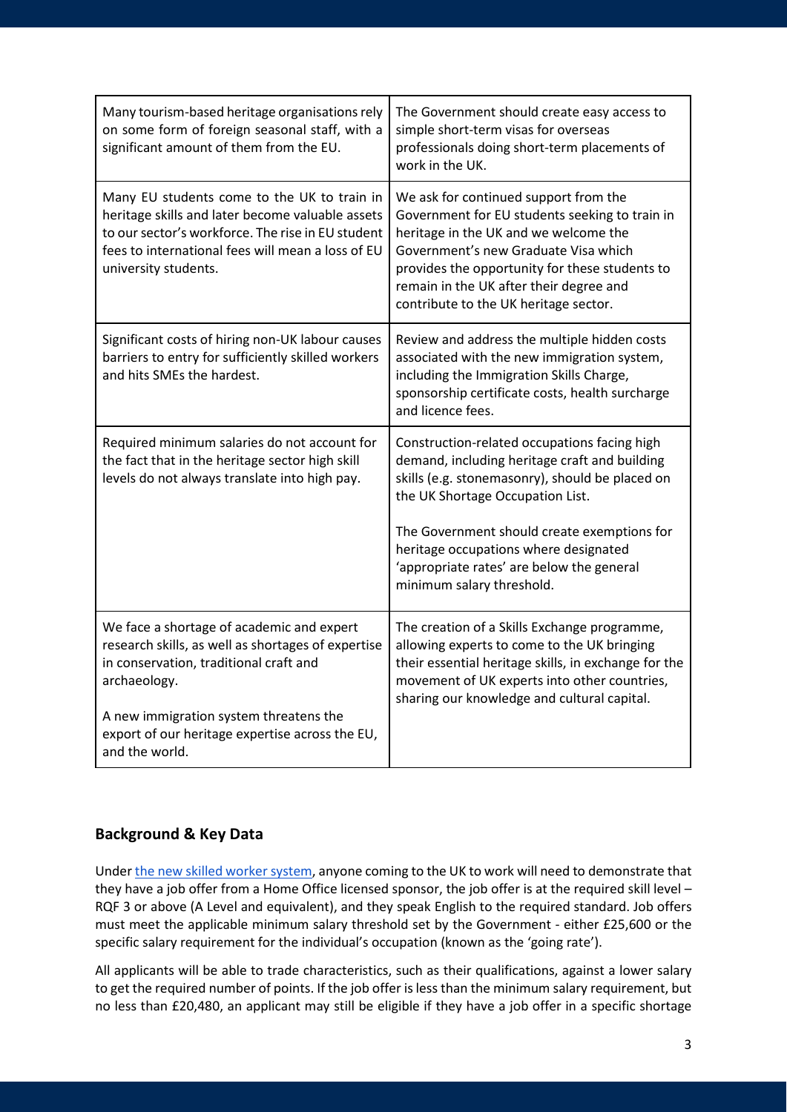| Many tourism-based heritage organisations rely<br>on some form of foreign seasonal staff, with a<br>significant amount of them from the EU.                                                                                                                              | The Government should create easy access to<br>simple short-term visas for overseas<br>professionals doing short-term placements of<br>work in the UK.                                                                                                                                                                                                 |
|--------------------------------------------------------------------------------------------------------------------------------------------------------------------------------------------------------------------------------------------------------------------------|--------------------------------------------------------------------------------------------------------------------------------------------------------------------------------------------------------------------------------------------------------------------------------------------------------------------------------------------------------|
| Many EU students come to the UK to train in<br>heritage skills and later become valuable assets<br>to our sector's workforce. The rise in EU student<br>fees to international fees will mean a loss of EU<br>university students.                                        | We ask for continued support from the<br>Government for EU students seeking to train in<br>heritage in the UK and we welcome the<br>Government's new Graduate Visa which<br>provides the opportunity for these students to<br>remain in the UK after their degree and<br>contribute to the UK heritage sector.                                         |
| Significant costs of hiring non-UK labour causes<br>barriers to entry for sufficiently skilled workers<br>and hits SMEs the hardest.                                                                                                                                     | Review and address the multiple hidden costs<br>associated with the new immigration system,<br>including the Immigration Skills Charge,<br>sponsorship certificate costs, health surcharge<br>and licence fees.                                                                                                                                        |
| Required minimum salaries do not account for<br>the fact that in the heritage sector high skill<br>levels do not always translate into high pay.                                                                                                                         | Construction-related occupations facing high<br>demand, including heritage craft and building<br>skills (e.g. stonemasonry), should be placed on<br>the UK Shortage Occupation List.<br>The Government should create exemptions for<br>heritage occupations where designated<br>'appropriate rates' are below the general<br>minimum salary threshold. |
| We face a shortage of academic and expert<br>research skills, as well as shortages of expertise<br>in conservation, traditional craft and<br>archaeology.<br>A new immigration system threatens the<br>export of our heritage expertise across the EU,<br>and the world. | The creation of a Skills Exchange programme,<br>allowing experts to come to the UK bringing<br>their essential heritage skills, in exchange for the<br>movement of UK experts into other countries,<br>sharing our knowledge and cultural capital.                                                                                                     |

# <span id="page-2-0"></span>**Background & Key Data**

Under [the new skilled worker system,](https://www.gov.uk/government/publications/uk-points-based-immigration-system-employer-information/the-uks-points-based-immigration-system-an-introduction-for-employers) anyone coming to the UK to work will need to demonstrate that they have a job offer from a Home Office licensed sponsor, the job offer is at the required skill level – RQF 3 or above (A Level and equivalent), and they speak English to the required standard. Job offers must meet the applicable minimum salary threshold set by the Government - either £25,600 or the specific salary requirement for the individual's occupation (known as the 'going rate').

All applicants will be able to trade characteristics, such as their qualifications, against a lower salary to get the required number of points. If the job offer is less than the minimum salary requirement, but no less than £20,480, an applicant may still be eligible if they have a job offer in a specific shortage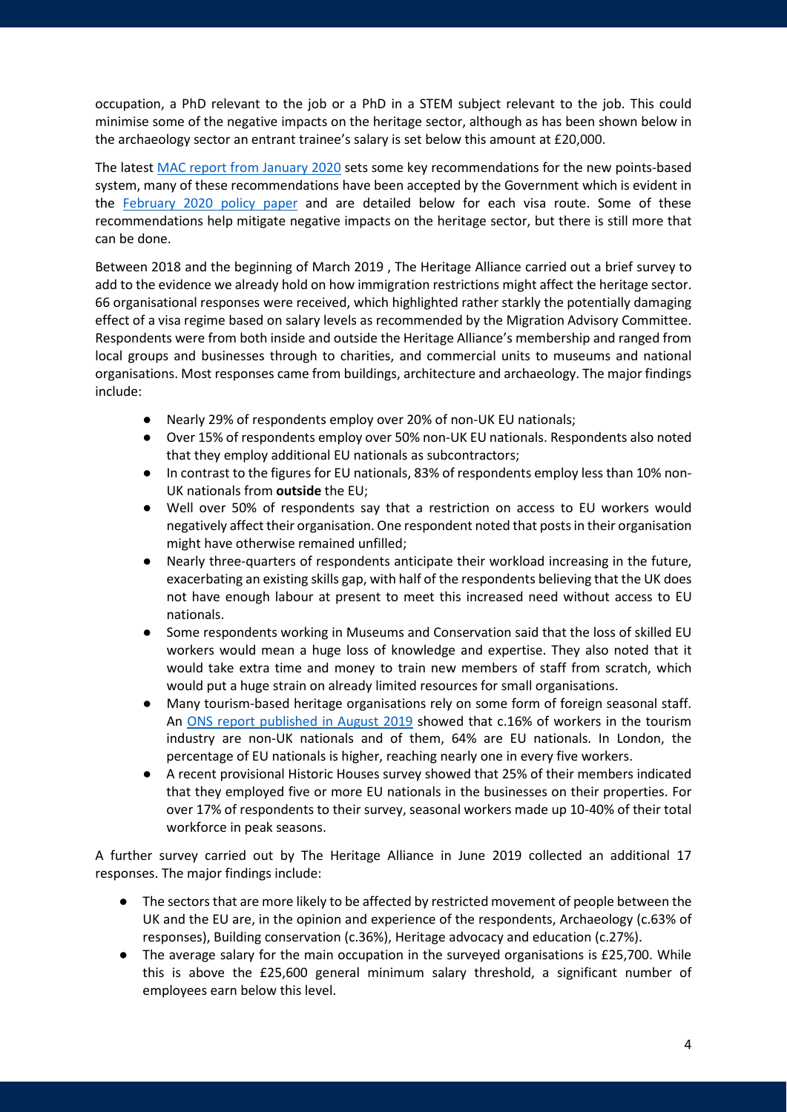occupation, a PhD relevant to the job or a PhD in a STEM subject relevant to the job. This could minimise some of the negative impacts on the heritage sector, although as has been shown below in the archaeology sector an entrant trainee's salary is set below this amount at £20,000.

The latest [MAC report from January 2020](https://www.gov.uk/government/publications/migration-advisory-committee-mac-report-points-based-system-and-salary-thresholds) sets some key recommendations for the new points-based system, many of these recommendations have been accepted by the Government which is evident in the [February 2020 policy paper](https://www.gov.uk/government/publications/the-uks-points-based-immigration-system-policy-statement/the-uks-points-based-immigration-system-policy-statement#the-uks-points-based-system) and are detailed below for each visa route. Some of these recommendations help mitigate negative impacts on the heritage sector, but there is still more that can be done.

Between 2018 and the beginning of March 2019 , The Heritage Alliance carried out a brief survey to add to the evidence we already hold on how immigration restrictions might affect the heritage sector. 66 organisational responses were received, which highlighted rather starkly the potentially damaging effect of a visa regime based on salary levels as recommended by the Migration Advisory Committee. Respondents were from both inside and outside the Heritage Alliance's membership and ranged from local groups and businesses through to charities, and commercial units to museums and national organisations. Most responses came from buildings, architecture and archaeology. The major findings include:

- Nearly 29% of respondents employ over 20% of non-UK EU nationals;
- Over 15% of respondents employ over 50% non-UK EU nationals. Respondents also noted that they employ additional EU nationals as subcontractors;
- In contrast to the figures for EU nationals, 83% of respondents employ less than 10% non-UK nationals from **outside** the EU;
- Well over 50% of respondents say that a restriction on access to EU workers would negatively affect their organisation. One respondent noted that posts in their organisation might have otherwise remained unfilled;
- Nearly three-quarters of respondents anticipate their workload increasing in the future, exacerbating an existing skills gap, with half of the respondents believing that the UK does not have enough labour at present to meet this increased need without access to EU nationals.
- Some respondents working in Museums and Conservation said that the loss of skilled EU workers would mean a huge loss of knowledge and expertise. They also noted that it would take extra time and money to train new members of staff from scratch, which would put a huge strain on already limited resources for small organisations.
- Many tourism-based heritage organisations rely on some form of foreign seasonal staff. An [ONS report published in August 2019](https://www.ons.gov.uk/peoplepopulationandcommunity/populationandmigration/internationalmigration/articles/migrantlabourforcewithinthetourismindustry/august2019) showed that c.16% of workers in the tourism industry are non-UK nationals and of them, 64% are EU nationals. In London, the percentage of EU nationals is higher, reaching nearly one in every five workers.
- A recent provisional Historic Houses survey showed that 25% of their members indicated that they employed five or more EU nationals in the businesses on their properties. For over 17% of respondents to their survey, seasonal workers made up 10-40% of their total workforce in peak seasons.

A further survey carried out by The Heritage Alliance in June 2019 collected an additional 17 responses. The major findings include:

- The sectors that are more likely to be affected by restricted movement of people between the UK and the EU are, in the opinion and experience of the respondents, Archaeology (c.63% of responses), Building conservation (c.36%), Heritage advocacy and education (c.27%).
- The average salary for the main occupation in the surveyed organisations is £25,700. While this is above the £25,600 general minimum salary threshold, a significant number of employees earn below this level.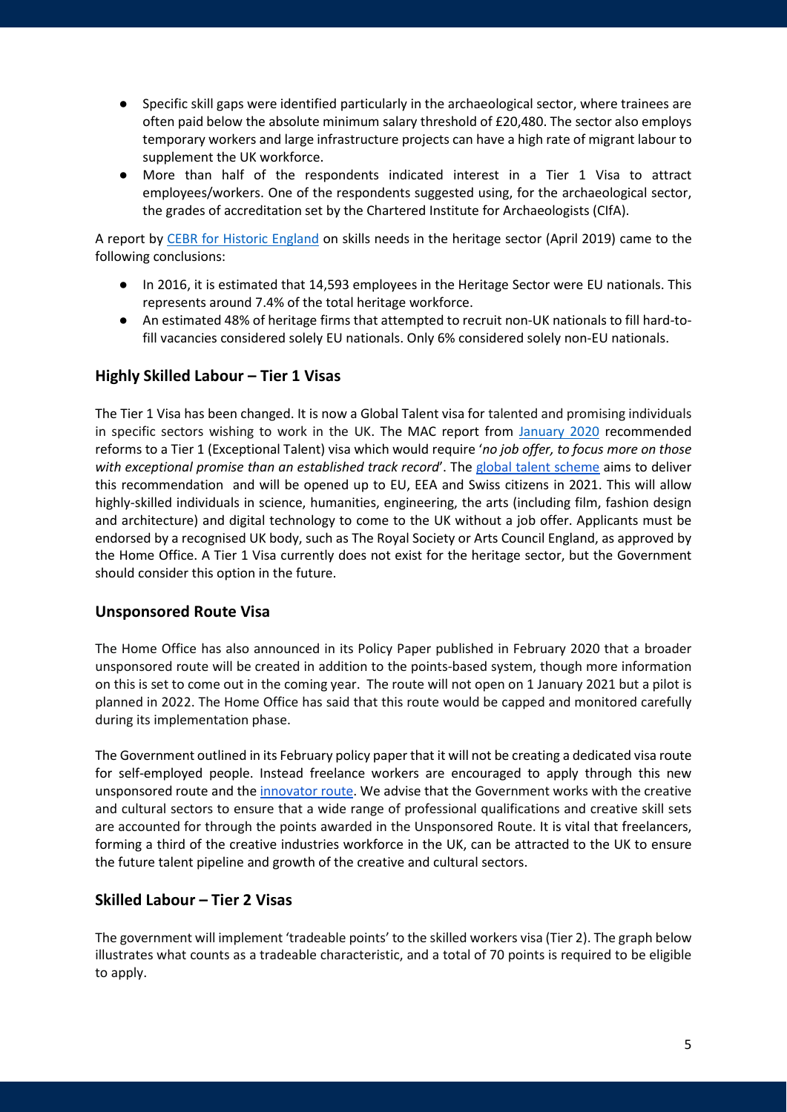- Specific skill gaps were identified particularly in the archaeological sector, where trainees are often paid below the absolute minimum salary threshold of £20,480. The sector also employs temporary workers and large infrastructure projects can have a high rate of migrant labour to supplement the UK workforce.
- More than half of the respondents indicated interest in a Tier 1 Visa to attract employees/workers. One of the respondents suggested using, for the archaeological sector, the grades of accreditation set by the Chartered Institute for Archaeologists (CIfA).

A report by [CEBR for Historic England](https://historicengland.org.uk/content/heritage-counts/pub/2019/skill-gaps-needs-in-the-heritage-sector-pdf/) on skills needs in the heritage sector (April 2019) came to the following conclusions:

- In 2016, it is estimated that 14,593 employees in the Heritage Sector were EU nationals. This represents around 7.4% of the total heritage workforce.
- An estimated 48% of heritage firms that attempted to recruit non-UK nationals to fill hard-tofill vacancies considered solely EU nationals. Only 6% considered solely non-EU nationals.

# <span id="page-4-0"></span>**Highly Skilled Labour – Tier 1 Visas**

The Tier 1 Visa has been changed. It is now a Global Talent visa for talented and promising individuals in specific sectors wishing to work in the UK. The MAC report from [January 2020](https://assets.publishing.service.gov.uk/government/uploads/system/uploads/attachment_data/file/873155/PBS_and_Salary_Thresholds_Report_MAC_word_FINAL.pdf) recommended reforms to a Tier 1 (Exceptional Talent) visa which would require '*no job offer, to focus more on those with exceptional promise than an established track record*'. The [global talent scheme](https://www.gov.uk/government/news/boost-for-uk-science-with-unlimited-visa-offer-to-worlds-brightest-and-best) aims to deliver this recommendation and will be opened up to EU, EEA and Swiss citizens in 2021. This will allow highly-skilled individuals in science, humanities, engineering, the arts (including film, fashion design and architecture) and digital technology to come to the UK without a job offer. Applicants must be endorsed by a recognised UK body, such as The Royal Society or Arts Council England, as approved by the Home Office. A Tier 1 Visa currently does not exist for the heritage sector, but the Government should consider this option in the future.

# <span id="page-4-1"></span>**Unsponsored Route Visa**

The Home Office has also announced in its Policy Paper published in February 2020 that a broader unsponsored route will be created in addition to the points-based system, though more information on this is set to come out in the coming year. The route will not open on 1 January 2021 but a pilot is planned in 2022. The Home Office has said that this route would be capped and monitored carefully during its implementation phase.

The Government outlined in its February policy paper that it will not be creating a dedicated visa route for self-employed people. Instead freelance workers are encouraged to apply through this new unsponsored route and th[e innovator route.](https://www.gov.uk/innovator-visa) We advise that the Government works with the creative and cultural sectors to ensure that a wide range of professional qualifications and creative skill sets are accounted for through the points awarded in the Unsponsored Route. It is vital that freelancers, forming a third of the creative industries workforce in the UK, can be attracted to the UK to ensure the future talent pipeline and growth of the creative and cultural sectors.

# <span id="page-4-2"></span>**Skilled Labour – Tier 2 Visas**

The government will implement 'tradeable points' to the skilled workers visa (Tier 2). The graph below illustrates what counts as a tradeable characteristic, and a total of 70 points is required to be eligible to apply.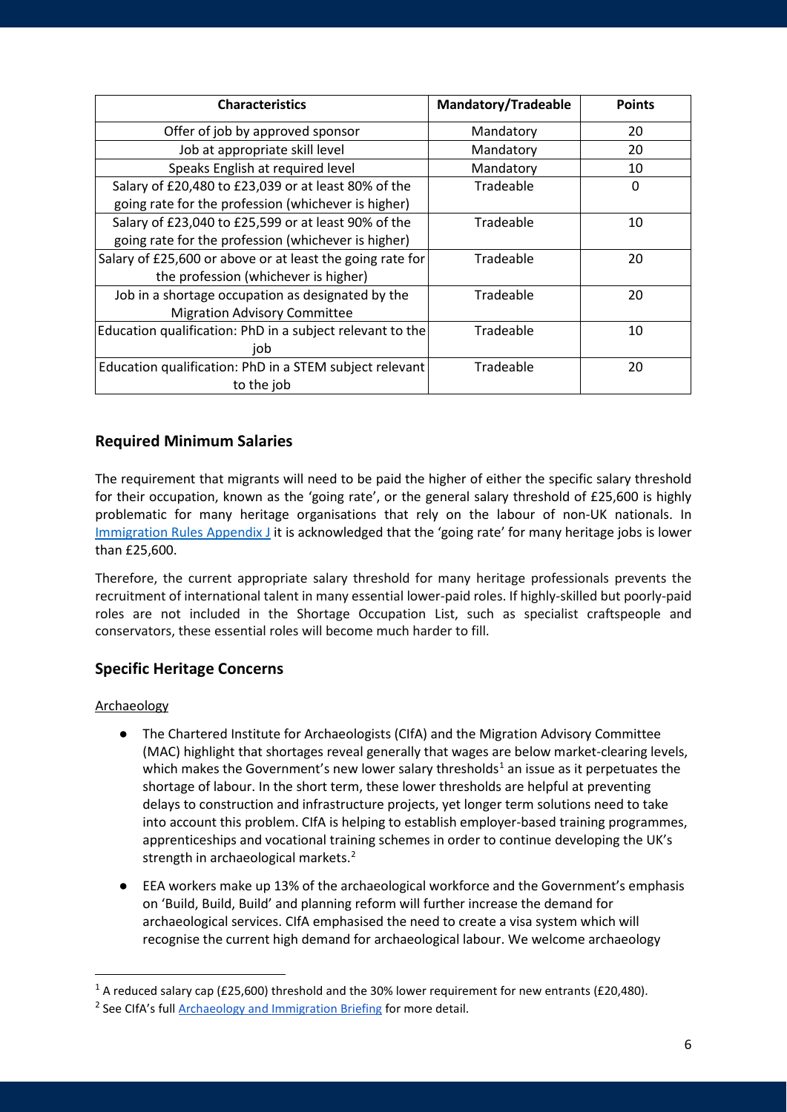| <b>Characteristics</b>                                    | <b>Mandatory/Tradeable</b> | <b>Points</b> |
|-----------------------------------------------------------|----------------------------|---------------|
| Offer of job by approved sponsor                          | Mandatory                  | 20            |
| Job at appropriate skill level                            | Mandatory                  | 20            |
| Speaks English at required level                          | Mandatory                  | 10            |
| Salary of £20,480 to £23,039 or at least 80% of the       | Tradeable                  | 0             |
| going rate for the profession (whichever is higher)       |                            |               |
| Salary of £23,040 to £25,599 or at least 90% of the       | Tradeable                  | 10            |
| going rate for the profession (whichever is higher)       |                            |               |
| Salary of £25,600 or above or at least the going rate for | Tradeable                  | 20            |
| the profession (whichever is higher)                      |                            |               |
| Job in a shortage occupation as designated by the         | Tradeable                  | 20            |
| <b>Migration Advisory Committee</b>                       |                            |               |
| Education qualification: PhD in a subject relevant to the | Tradeable                  | 10            |
| job                                                       |                            |               |
| Education qualification: PhD in a STEM subject relevant   | Tradeable                  | 20            |
| to the job                                                |                            |               |

# <span id="page-5-0"></span>**Required Minimum Salaries**

The requirement that migrants will need to be paid the higher of either the specific salary threshold for their occupation, known as the 'going rate', or the general salary threshold of £25,600 is highly problematic for many heritage organisations that rely on the labour of non-UK nationals. In [Immigration Rules Appendix J](https://www.gov.uk/guidance/immigration-rules/immigration-rules-appendix-j-codes-of-practice-for-skilled-work) it is acknowledged that the 'going rate' for many heritage jobs is lower than £25,600.

Therefore, the current appropriate salary threshold for many heritage professionals prevents the recruitment of international talent in many essential lower-paid roles. If highly-skilled but poorly-paid roles are not included in the Shortage Occupation List, such as specialist craftspeople and conservators, these essential roles will become much harder to fill.

# <span id="page-5-1"></span>**Specific Heritage Concerns**

# Archaeology

- The Chartered Institute for Archaeologists (CIfA) and the Migration Advisory Committee (MAC) highlight that shortages reveal generally that wages are below market-clearing levels, which makes the Government's new lower salary thresholds<sup>[1](#page-5-2)</sup> an issue as it perpetuates the shortage of labour. In the short term, these lower thresholds are helpful at preventing delays to construction and infrastructure projects, yet longer term solutions need to take into account this problem. CIfA is helping to establish employer-based training programmes, apprenticeships and vocational training schemes in order to continue developing the UK's strength in archaeological markets.<sup>[2](#page-5-3)</sup>
- EEA workers make up 13% of the archaeological workforce and the Government's emphasis on 'Build, Build, Build' and planning reform will further increase the demand for archaeological services. CIfA emphasised the need to create a visa system which will recognise the current high demand for archaeological labour. We welcome archaeology

<span id="page-5-2"></span><sup>&</sup>lt;sup>1</sup> A reduced salary cap (£25,600) threshold and the 30% lower requirement for new entrants (£20,480).

<span id="page-5-3"></span><sup>&</sup>lt;sup>2</sup> See CIfA's full [Archaeology and Immigration Briefing](https://www.archaeologists.net/sites/default/files/CIfA%20immigration%20briefing%20-%20February%202020_0.pdf) for more detail.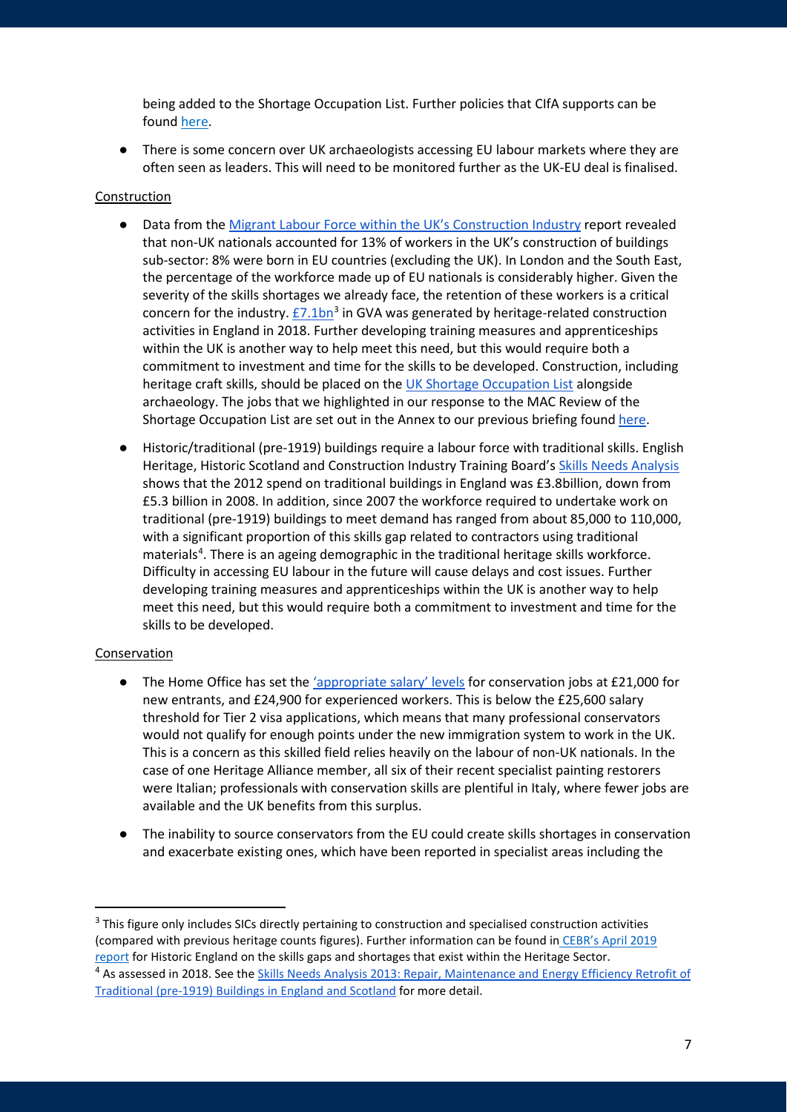being added to the Shortage Occupation List. Further policies that CIfA supports can be found [here.](https://www.archaeologists.net/sites/default/files/CIfA%20immigration%20briefing%20-%20February%202020_0.pdf)

There is some concern over UK archaeologists accessing EU labour markets where they are often seen as leaders. This will need to be monitored further as the UK-EU deal is finalised.

#### Construction

- Data from the [Migrant Labour Force within the UK's Construction Industry](https://www.ons.gov.uk/peoplepopulationandcommunity/populationandmigration/internationalmigration/articles/migrantlabourforcewithintheconstructionindustry/august2018) report revealed that non-UK nationals accounted for 13% of workers in the UK's construction of buildings sub-sector: 8% were born in EU countries (excluding the UK). In London and the South East, the percentage of the workforce made up of EU nationals is considerably higher. Given the severity of the skills shortages we already face, the retention of these workers is a critical concern for the industry.  $E7.1$ bn<sup>[3](#page-6-0)</sup> in GVA was generated by heritage-related construction activities in England in 2018. Further developing training measures and apprenticeships within the UK is another way to help meet this need, but this would require both a commitment to investment and time for the skills to be developed. Construction, including heritage craft skills, should be placed on the [UK Shortage Occupation List](https://www.gov.uk/guidance/immigration-rules/immigration-rules-appendix-k-shortage-occupation-list) alongside archaeology. The jobs that we highlighted in our response to the MAC Review of the Shortage Occupation List are set out in the Annex to our previous briefing found [here.](http://www.theheritagealliance.org.uk/wp-content/uploads/2019/04/Heritage-and-Immigration-Brexit-Briefing-1.pdf)
- Historic/traditional (pre-1919) buildings require a labour force with traditional skills. English Heritage, Historic Scotland and Construction Industry Training Board's [Skills Needs Analysis](https://historicengland.org.uk/content/heritage-counts/pub/2013/skills-needs-analysis-2013-repair-maintenance-energy-efficiency-retrofit/)  shows that the 2012 spend on traditional buildings in England was £3.8billion, down from £5.3 billion in 2008. In addition, since 2007 the workforce required to undertake work on traditional (pre-1919) buildings to meet demand has ranged from about 85,000 to 110,000, with a significant proportion of this skills gap related to contractors using traditional materials<sup>[4](#page-6-1)</sup>. There is an ageing demographic in the traditional heritage skills workforce. Difficulty in accessing EU labour in the future will cause delays and cost issues. Further developing training measures and apprenticeships within the UK is another way to help meet this need, but this would require both a commitment to investment and time for the skills to be developed.

#### Conservation

- The Home Office has set the ['appropriate salary' levels](https://www.gov.uk/guidance/immigration-rules/immigration-rules-appendix-j-codes-of-practice-for-skilled-work) for conservation jobs at £21,000 for new entrants, and £24,900 for experienced workers. This is below the £25,600 salary threshold for Tier 2 visa applications, which means that many professional conservators would not qualify for enough points under the new immigration system to work in the UK. This is a concern as this skilled field relies heavily on the labour of non-UK nationals. In the case of one Heritage Alliance member, all six of their recent specialist painting restorers were Italian; professionals with conservation skills are plentiful in Italy, where fewer jobs are available and the UK benefits from this surplus.
- The inability to source conservators from the EU could create skills shortages in conservation and exacerbate existing ones, which have been reported in specialist areas including the

<span id="page-6-1"></span><span id="page-6-0"></span> $3$  This figure only includes SICs directly pertaining to construction and specialised construction activities (compared with previous heritage counts figures). Further information can be found in [CEBR's April 2019](https://historicengland.org.uk/content/heritage-counts/pub/2019/skill-gaps-needs-in-the-heritage-sector-pdf/)  [report](https://historicengland.org.uk/content/heritage-counts/pub/2019/skill-gaps-needs-in-the-heritage-sector-pdf/) for Historic England on the skills gaps and shortages that exist within the Heritage Sector. <sup>4</sup> As assessed in 2018. See the Skills Needs Analysis 2013: Repair, Maintenance and Energy Efficiency Retrofit of [Traditional \(pre-1919\) Buildings in England and Scotland](https://historicengland.org.uk/content/heritage-counts/pub/2013/skills-needs-analysis-2013-repair-maintenance-energy-efficiency-retrofit/) for more detail.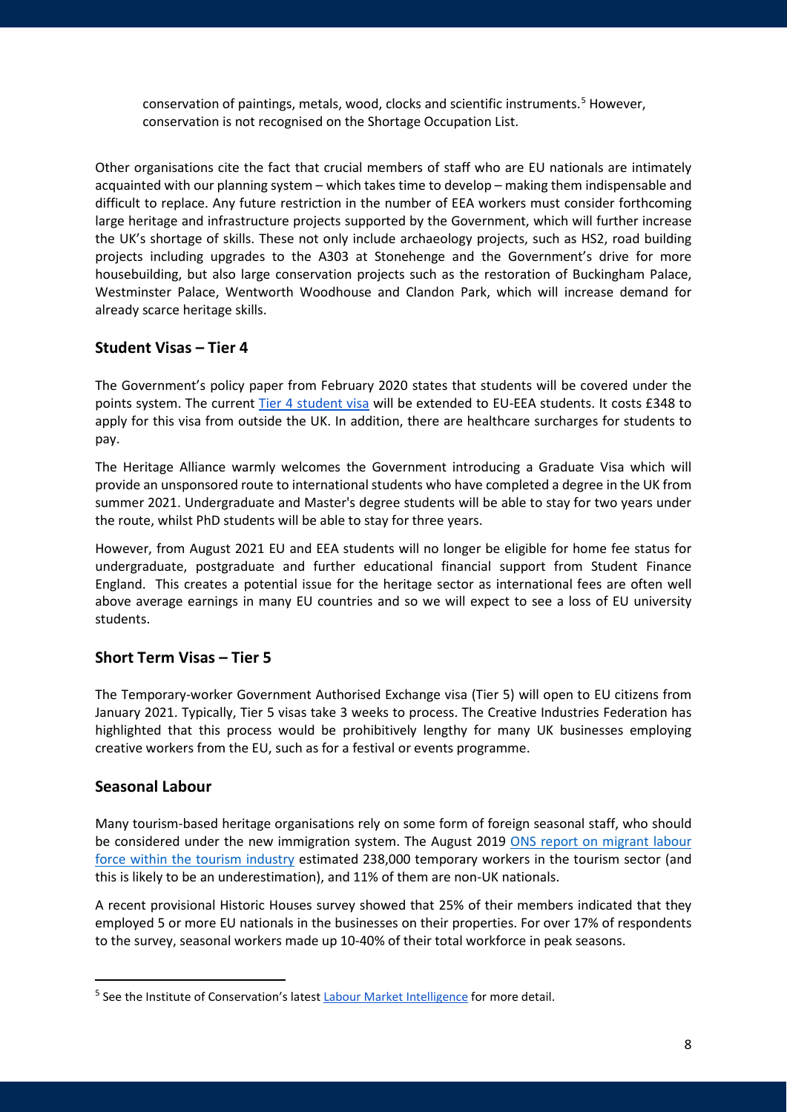conservation of paintings, metals, wood, clocks and scientific instruments.[5](#page-7-3) However, conservation is not recognised on the Shortage Occupation List.

Other organisations cite the fact that crucial members of staff who are EU nationals are intimately acquainted with our planning system – which takes time to develop – making them indispensable and difficult to replace. Any future restriction in the number of EEA workers must consider forthcoming large heritage and infrastructure projects supported by the Government, which will further increase the UK's shortage of skills. These not only include archaeology projects, such as HS2, road building projects including upgrades to the A303 at Stonehenge and the Government's drive for more housebuilding, but also large conservation projects such as the restoration of Buckingham Palace, Westminster Palace, Wentworth Woodhouse and Clandon Park, which will increase demand for already scarce heritage skills.

# <span id="page-7-0"></span>**Student Visas – Tier 4**

The Government's policy paper from February 2020 states that students will be covered under the points system. The current [Tier 4 student visa](https://www.gov.uk/tier-4-general-visa/eligibility) will be extended to EU-EEA students. It costs £348 to apply for this visa from outside the UK. In addition, there are healthcare surcharges for students to pay.

The Heritage Alliance warmly welcomes the Government introducing a Graduate Visa which will provide an unsponsored route to international students who have completed a degree in the UK from summer 2021. Undergraduate and Master's degree students will be able to stay for two years under the route, whilst PhD students will be able to stay for three years.

However, from August 2021 EU and EEA students will no longer be eligible for home fee status for undergraduate, postgraduate and further educational financial support from Student Finance England. This creates a potential issue for the heritage sector as international fees are often well above average earnings in many EU countries and so we will expect to see a loss of EU university students.

# <span id="page-7-1"></span>**Short Term Visas – Tier 5**

The Temporary-worker Government Authorised Exchange visa (Tier 5) will open to EU citizens from January 2021. Typically, Tier 5 visas take 3 weeks to process. The Creative Industries Federation has highlighted that this process would be prohibitively lengthy for many UK businesses employing creative workers from the EU, such as for a festival or events programme.

# <span id="page-7-2"></span>**Seasonal Labour**

Many tourism-based heritage organisations rely on some form of foreign seasonal staff, who should be considered under the new immigration system. The August 2019 ONS report on migrant labour [force within the tourism industry](https://www.ons.gov.uk/peoplepopulationandcommunity/populationandmigration/internationalmigration/articles/migrantlabourforcewithinthetourismindustry/august2019) estimated 238,000 temporary workers in the tourism sector (and this is likely to be an underestimation), and 11% of them are non-UK nationals.

A recent provisional Historic Houses survey showed that 25% of their members indicated that they employed 5 or more EU nationals in the businesses on their properties. For over 17% of respondents to the survey, seasonal workers made up 10-40% of their total workforce in peak seasons.

<span id="page-7-3"></span><sup>&</sup>lt;sup>5</sup> See the Institute of Conservation's latest **Labour Market Intelligence** for more detail.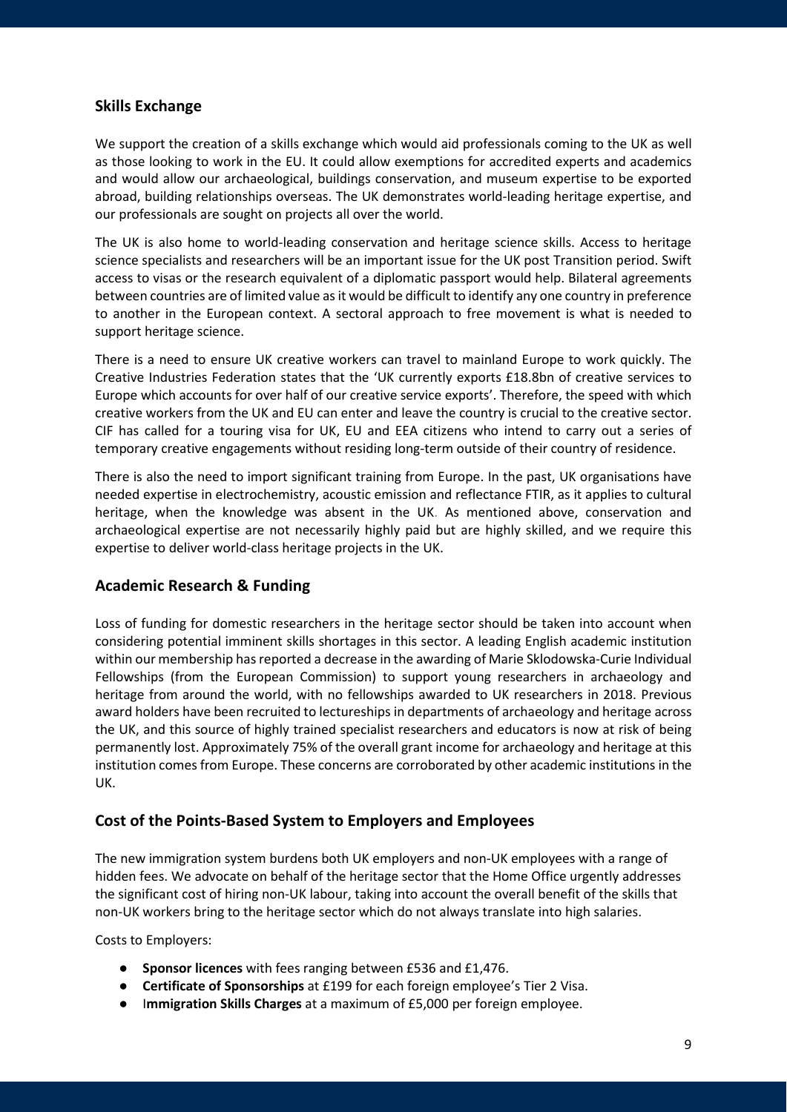# <span id="page-8-0"></span>**Skills Exchange**

We support the creation of a skills exchange which would aid professionals coming to the UK as well as those looking to work in the EU. It could allow exemptions for accredited experts and academics and would allow our archaeological, buildings conservation, and museum expertise to be exported abroad, building relationships overseas. The UK demonstrates world-leading heritage expertise, and our professionals are sought on projects all over the world.

The UK is also home to world-leading conservation and heritage science skills. Access to heritage science specialists and researchers will be an important issue for the UK post Transition period. Swift access to visas or the research equivalent of a diplomatic passport would help. Bilateral agreements between countries are of limited value as it would be difficult to identify any one country in preference to another in the European context. A sectoral approach to free movement is what is needed to support heritage science.

There is a need to ensure UK creative workers can travel to mainland Europe to work quickly. The Creative Industries Federation states that the 'UK currently exports £18.8bn of creative services to Europe which accounts for over half of our creative service exports'. Therefore, the speed with which creative workers from the UK and EU can enter and leave the country is crucial to the creative sector. CIF has called for a touring visa for UK, EU and EEA citizens who intend to carry out a series of temporary creative engagements without residing long-term outside of their country of residence.

There is also the need to import significant training from Europe. In the past, UK organisations have needed expertise in electrochemistry, acoustic emission and reflectance FTIR, as it applies to cultural heritage, when the knowledge was absent in the UK. As mentioned above, conservation and archaeological expertise are not necessarily highly paid but are highly skilled, and we require this expertise to deliver world-class heritage projects in the UK.

# <span id="page-8-1"></span>**Academic Research & Funding**

Loss of funding for domestic researchers in the heritage sector should be taken into account when considering potential imminent skills shortages in this sector. A leading English academic institution within our membership has reported a decrease in the awarding of Marie Sklodowska-Curie Individual Fellowships (from the European Commission) to support young researchers in archaeology and heritage from around the world, with no fellowships awarded to UK researchers in 2018. Previous award holders have been recruited to lectureships in departments of archaeology and heritage across the UK, and this source of highly trained specialist researchers and educators is now at risk of being permanently lost. Approximately 75% of the overall grant income for archaeology and heritage at this institution comes from Europe. These concerns are corroborated by other academic institutions in the UK.

# <span id="page-8-2"></span>**Cost of the Points-Based System to Employers and Employees**

The new immigration system burdens both UK employers and non-UK employees with a range of hidden fees. We advocate on behalf of the heritage sector that the Home Office urgently addresses the significant cost of hiring non-UK labour, taking into account the overall benefit of the skills that non-UK workers bring to the heritage sector which do not always translate into high salaries.

Costs to Employers:

- **Sponsor licences** with fees ranging between £536 and £1,476.
- **Certificate of Sponsorships** at £199 for each foreign employee's Tier 2 Visa.
- Immigration Skills Charges at a maximum of £5,000 per foreign employee.